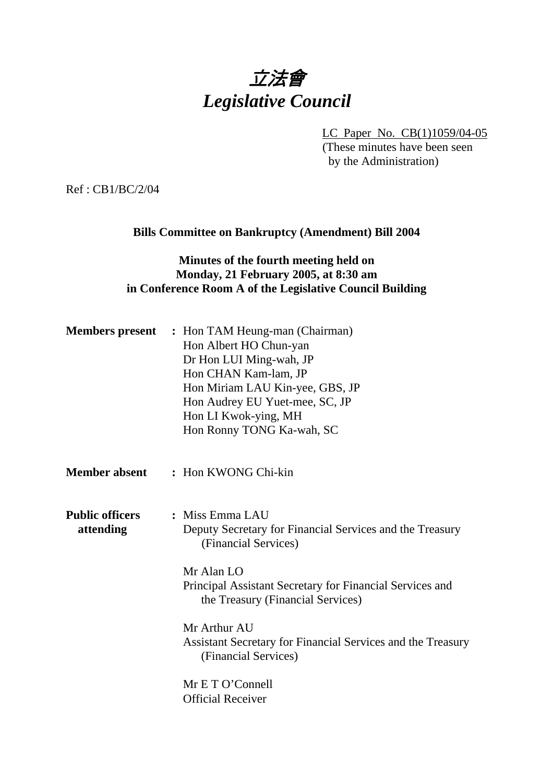# 立法會 *Legislative Council*

LC Paper No. CB(1)1059/04-05

(These minutes have been seen by the Administration)

Ref : CB1/BC/2/04

# **Bills Committee on Bankruptcy (Amendment) Bill 2004**

# **Minutes of the fourth meeting held on Monday, 21 February 2005, at 8:30 am in Conference Room A of the Legislative Council Building**

| <b>Members present</b>              | : Hon TAM Heung-man (Chairman)<br>Hon Albert HO Chun-yan<br>Dr Hon LUI Ming-wah, JP<br>Hon CHAN Kam-lam, JP<br>Hon Miriam LAU Kin-yee, GBS, JP<br>Hon Audrey EU Yuet-mee, SC, JP<br>Hon LI Kwok-ying, MH<br>Hon Ronny TONG Ka-wah, SC |
|-------------------------------------|---------------------------------------------------------------------------------------------------------------------------------------------------------------------------------------------------------------------------------------|
| <b>Member absent</b>                | : Hon KWONG Chi-kin                                                                                                                                                                                                                   |
| <b>Public officers</b><br>attending | : Miss Emma LAU<br>Deputy Secretary for Financial Services and the Treasury<br>(Financial Services)                                                                                                                                   |
|                                     | Mr Alan LO<br>Principal Assistant Secretary for Financial Services and<br>the Treasury (Financial Services)                                                                                                                           |
|                                     | Mr Arthur AU<br>Assistant Secretary for Financial Services and the Treasury<br>(Financial Services)                                                                                                                                   |
|                                     | Mr E T O'Connell<br><b>Official Receiver</b>                                                                                                                                                                                          |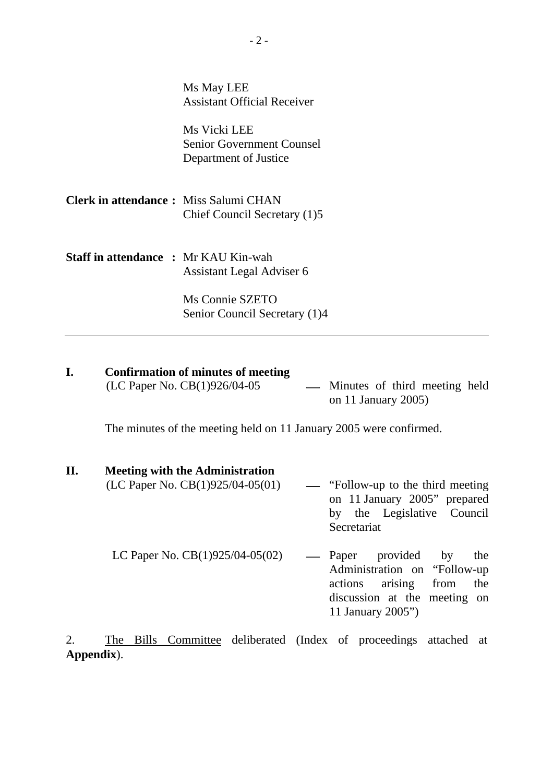|                                              | Ms May LEE<br><b>Assistant Official Receiver</b>                          |
|----------------------------------------------|---------------------------------------------------------------------------|
|                                              | Ms Vicki LEE<br><b>Senior Government Counsel</b><br>Department of Justice |
| <b>Clerk in attendance:</b> Miss Salumi CHAN | Chief Council Secretary (1)5                                              |
| <b>Staff in attendance : Mr KAU Kin-wah</b>  | Assistant Legal Adviser 6                                                 |
|                                              | Ms Connie SZETO<br>Senior Council Secretary (1)4                          |

### **I. Confirmation of minutes of meeting**   $(LC$  Paper No.  $CB(1)926/04-05$  — Minutes of third meeting held

on 11 January 2005)

11 January 2005")

The minutes of the meeting held on 11 January 2005 were confirmed.

# **II. Meeting with the Administration**

(LC Paper No.  $CB(1)925/04-05(01)$  - "Follow-up to the third meeting on 11 January 2005" prepared by the Legislative Council Secretariat LC Paper No.  $CB(1)925/04-05(02)$  — Paper provided by the Administration on "Follow-up actions arising from the discussion at the meeting on

2. The Bills Committee deliberated (Index of proceedings attached at **Appendix**).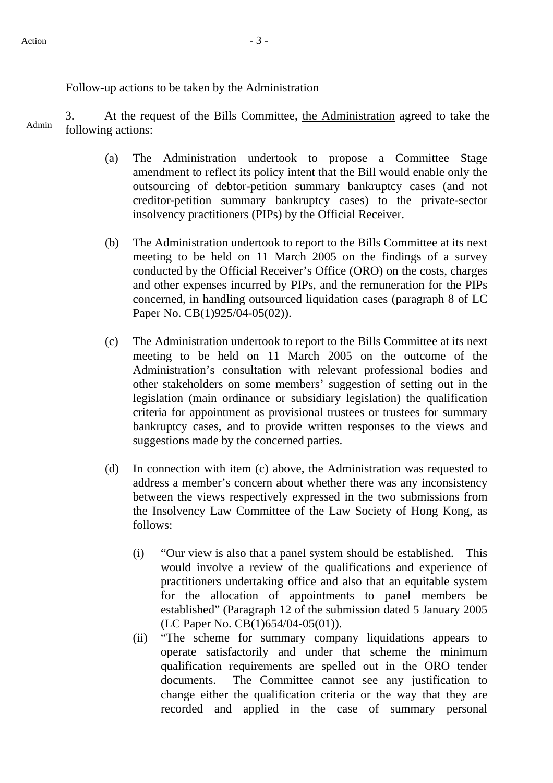### Follow-up actions to be taken by the Administration

3. At the request of the Bills Committee, the Administration agreed to take the Admin following actions:

- (a) The Administration undertook to propose a Committee Stage amendment to reflect its policy intent that the Bill would enable only the outsourcing of debtor-petition summary bankruptcy cases (and not creditor-petition summary bankruptcy cases) to the private-sector insolvency practitioners (PIPs) by the Official Receiver.
- (b) The Administration undertook to report to the Bills Committee at its next meeting to be held on 11 March 2005 on the findings of a survey conducted by the Official Receiver's Office (ORO) on the costs, charges and other expenses incurred by PIPs, and the remuneration for the PIPs concerned, in handling outsourced liquidation cases (paragraph 8 of LC Paper No. CB(1)925/04-05(02)).
- (c) The Administration undertook to report to the Bills Committee at its next meeting to be held on 11 March 2005 on the outcome of the Administration's consultation with relevant professional bodies and other stakeholders on some members' suggestion of setting out in the legislation (main ordinance or subsidiary legislation) the qualification criteria for appointment as provisional trustees or trustees for summary bankruptcy cases, and to provide written responses to the views and suggestions made by the concerned parties.
- (d) In connection with item (c) above, the Administration was requested to address a member's concern about whether there was any inconsistency between the views respectively expressed in the two submissions from the Insolvency Law Committee of the Law Society of Hong Kong, as follows:
	- (i) "Our view is also that a panel system should be established. This would involve a review of the qualifications and experience of practitioners undertaking office and also that an equitable system for the allocation of appointments to panel members be established" (Paragraph 12 of the submission dated 5 January 2005 (LC Paper No. CB(1)654/04-05(01)).
	- (ii) "The scheme for summary company liquidations appears to operate satisfactorily and under that scheme the minimum qualification requirements are spelled out in the ORO tender documents. The Committee cannot see any justification to change either the qualification criteria or the way that they are recorded and applied in the case of summary personal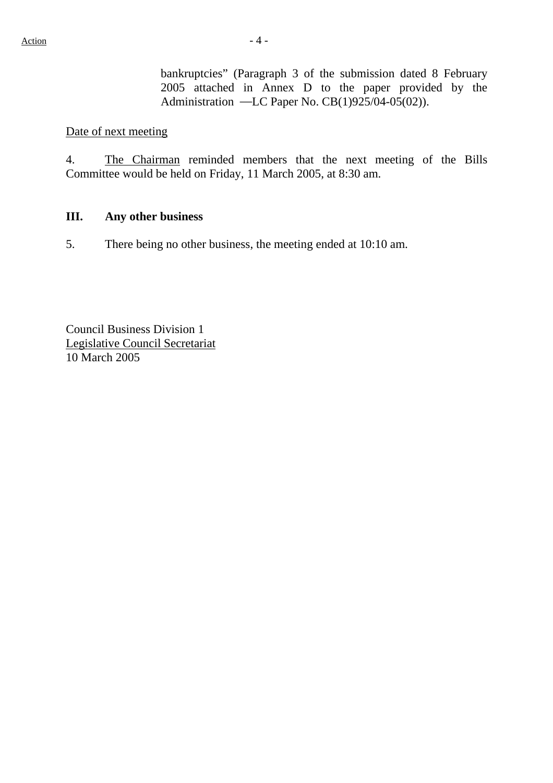bankruptcies" (Paragraph 3 of the submission dated 8 February 2005 attached in Annex D to the paper provided by the Administration —LC Paper No. CB(1)925/04-05(02)).

### Date of next meeting

4. The Chairman reminded members that the next meeting of the Bills Committee would be held on Friday, 11 March 2005, at 8:30 am.

### **III. Any other business**

5. There being no other business, the meeting ended at 10:10 am.

Council Business Division 1 Legislative Council Secretariat 10 March 2005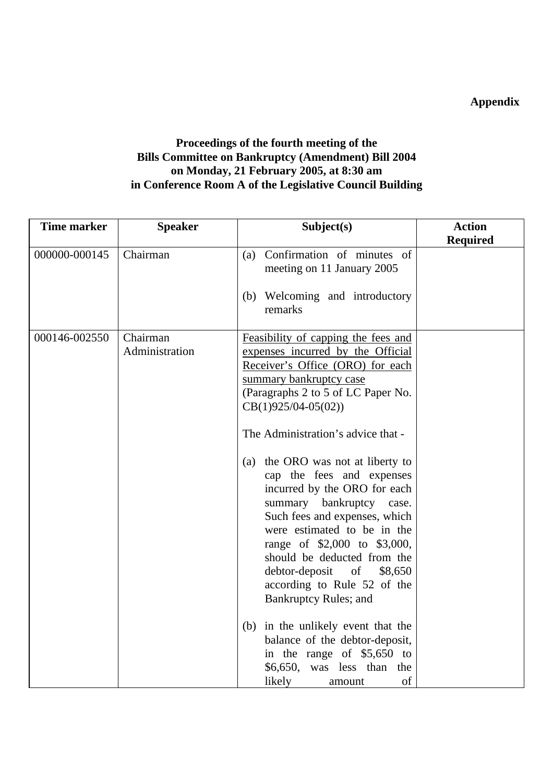**Appendix** 

# **Proceedings of the fourth meeting of the Bills Committee on Bankruptcy (Amendment) Bill 2004 on Monday, 21 February 2005, at 8:30 am in Conference Room A of the Legislative Council Building**

| <b>Time marker</b> | <b>Speaker</b>             | Subject(s)                                                                                                                                                                                                                                                                                                                                                                                                                                                                                                                                                                                                  | <b>Action</b>   |
|--------------------|----------------------------|-------------------------------------------------------------------------------------------------------------------------------------------------------------------------------------------------------------------------------------------------------------------------------------------------------------------------------------------------------------------------------------------------------------------------------------------------------------------------------------------------------------------------------------------------------------------------------------------------------------|-----------------|
|                    |                            |                                                                                                                                                                                                                                                                                                                                                                                                                                                                                                                                                                                                             | <b>Required</b> |
| 000000-000145      | Chairman                   | (a) Confirmation of minutes of<br>meeting on 11 January 2005<br>(b) Welcoming and introductory                                                                                                                                                                                                                                                                                                                                                                                                                                                                                                              |                 |
|                    |                            | remarks                                                                                                                                                                                                                                                                                                                                                                                                                                                                                                                                                                                                     |                 |
| 000146-002550      | Chairman<br>Administration | Feasibility of capping the fees and<br>expenses incurred by the Official<br>Receiver's Office (ORO) for each<br>summary bankruptcy case<br>(Paragraphs 2 to 5 of LC Paper No.<br>$CB(1)925/04-05(02))$<br>The Administration's advice that -<br>(a) the ORO was not at liberty to<br>cap the fees and expenses<br>incurred by the ORO for each<br>summary bankruptcy case.<br>Such fees and expenses, which<br>were estimated to be in the<br>range of \$2,000 to \$3,000,<br>should be deducted from the<br>debtor-deposit<br>of<br>\$8,650<br>according to Rule 52 of the<br><b>Bankruptcy Rules; and</b> |                 |
|                    |                            | (b) in the unlikely event that the<br>balance of the debtor-deposit,<br>in the range of \$5,650 to<br>$$6,650$ , was less than<br>the                                                                                                                                                                                                                                                                                                                                                                                                                                                                       |                 |
|                    |                            | of<br>likely<br>amount                                                                                                                                                                                                                                                                                                                                                                                                                                                                                                                                                                                      |                 |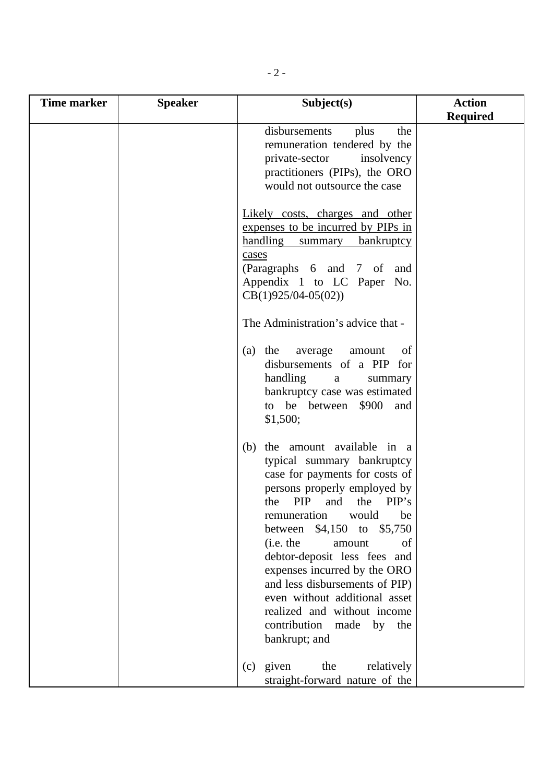| Time marker | <b>Speaker</b> | Subject(s)                                                                                                                                                                                                                                                                                                                                                                                                                                                                              | <b>Action</b>   |
|-------------|----------------|-----------------------------------------------------------------------------------------------------------------------------------------------------------------------------------------------------------------------------------------------------------------------------------------------------------------------------------------------------------------------------------------------------------------------------------------------------------------------------------------|-----------------|
|             |                |                                                                                                                                                                                                                                                                                                                                                                                                                                                                                         | <b>Required</b> |
|             |                | disbursements<br>plus<br>the<br>remuneration tendered by the<br>private-sector<br>insolvency<br>practitioners (PIPs), the ORO<br>would not outsource the case                                                                                                                                                                                                                                                                                                                           |                 |
|             |                | Likely costs, charges and other<br>expenses to be incurred by PIPs in<br>handling<br>bankruptcy<br>summary<br>cases<br>(Paragraphs 6 and 7 of<br>and<br>Appendix 1 to LC Paper No.<br>$CB(1)925/04-05(02))$                                                                                                                                                                                                                                                                             |                 |
|             |                | The Administration's advice that -<br>(a) the average<br>of<br>amount<br>disbursements of a PIP for<br>handling<br>summary<br>a<br>bankruptcy case was estimated<br>to be between \$900<br>and<br>\$1,500;                                                                                                                                                                                                                                                                              |                 |
|             |                | the amount available in a<br>(b)<br>typical summary bankruptcy<br>case for payments for costs of<br>persons properly employed by<br>PIP<br>and<br>the PIP's<br>the<br>remuneration<br>would<br>be<br>\$4,150 to<br>\$5,750<br>between<br>(i.e. the<br>amount<br>of<br>debtor-deposit less fees and<br>expenses incurred by the ORO<br>and less disbursements of PIP)<br>even without additional asset<br>realized and without income<br>contribution made<br>by<br>the<br>bankrupt; and |                 |
|             |                | $(c)$ given<br>the<br>relatively<br>straight-forward nature of the                                                                                                                                                                                                                                                                                                                                                                                                                      |                 |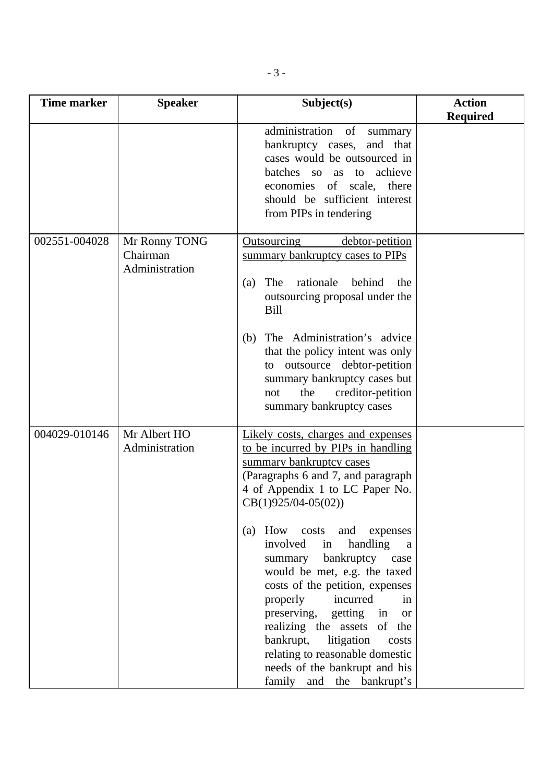| <b>Time marker</b> | <b>Speaker</b>                              | Subject(s)                                                                                                                                                                                                                                                                                                                                                                                                                                                                                                                                                                                                                 | <b>Action</b><br><b>Required</b> |
|--------------------|---------------------------------------------|----------------------------------------------------------------------------------------------------------------------------------------------------------------------------------------------------------------------------------------------------------------------------------------------------------------------------------------------------------------------------------------------------------------------------------------------------------------------------------------------------------------------------------------------------------------------------------------------------------------------------|----------------------------------|
|                    |                                             | administration of<br>summary<br>and that<br>bankruptcy cases,<br>cases would be outsourced in<br>achieve<br>batches so as<br>to<br>economies of scale, there<br>should be sufficient interest<br>from PIPs in tendering                                                                                                                                                                                                                                                                                                                                                                                                    |                                  |
| 002551-004028      | Mr Ronny TONG<br>Chairman<br>Administration | Outsourcing<br>debtor-petition<br>summary bankruptcy cases to PIPs<br>The<br>rationale<br>behind<br>the<br>(a)<br>outsourcing proposal under the<br>Bill<br>The Administration's advice<br>(b)<br>that the policy intent was only<br>to outsource debtor-petition<br>summary bankruptcy cases but<br>creditor-petition<br>the<br>not<br>summary bankruptcy cases                                                                                                                                                                                                                                                           |                                  |
| 004029-010146      | Mr Albert HO<br>Administration              | Likely costs, charges and expenses<br>to be incurred by PIPs in handling<br>summary bankruptcy cases<br>(Paragraphs 6 and 7, and paragraph<br>4 of Appendix 1 to LC Paper No.<br>$CB(1)925/04-05(02))$<br>(a) How costs and expenses<br>involved<br>handling<br>in<br>a<br>bankruptcy<br>summary<br>case<br>would be met, e.g. the taxed<br>costs of the petition, expenses<br>incurred<br>properly<br>in<br>preserving,<br>getting<br>in<br><b>or</b><br>realizing the assets of the<br>bankrupt,<br>litigation<br>costs<br>relating to reasonable domestic<br>needs of the bankrupt and his<br>family and the bankrupt's |                                  |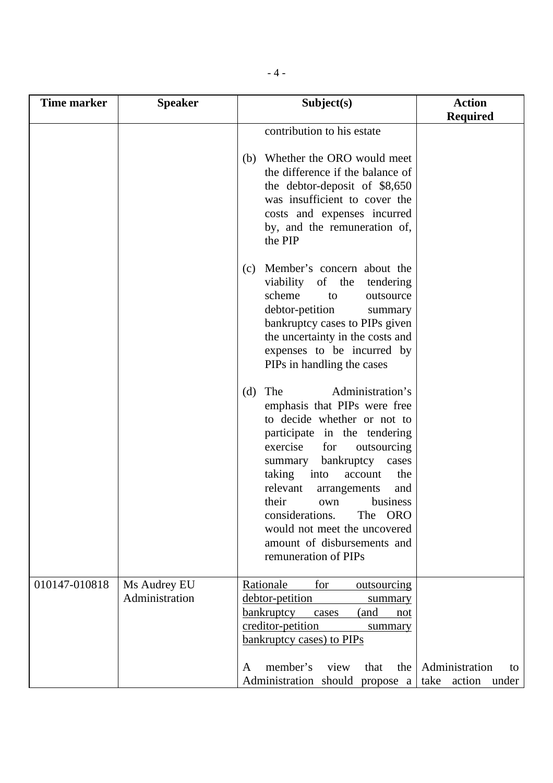| <b>Time marker</b> | <b>Speaker</b>                 | Subject(s)                                                                                                                                                                                                                                                                                                                                                                                                          | <b>Action</b>                 |
|--------------------|--------------------------------|---------------------------------------------------------------------------------------------------------------------------------------------------------------------------------------------------------------------------------------------------------------------------------------------------------------------------------------------------------------------------------------------------------------------|-------------------------------|
|                    |                                | contribution to his estate                                                                                                                                                                                                                                                                                                                                                                                          | <b>Required</b>               |
|                    |                                |                                                                                                                                                                                                                                                                                                                                                                                                                     |                               |
|                    |                                | (b) Whether the ORO would meet<br>the difference if the balance of<br>the debtor-deposit of \$8,650<br>was insufficient to cover the<br>costs and expenses incurred<br>by, and the remuneration of,<br>the PIP                                                                                                                                                                                                      |                               |
|                    |                                | Member's concern about the<br>(c)<br>viability<br>of the<br>tendering<br>scheme<br>outsource<br>to<br>debtor-petition<br>summary<br>bankruptcy cases to PIPs given<br>the uncertainty in the costs and<br>expenses to be incurred by<br>PIPs in handling the cases                                                                                                                                                  |                               |
|                    |                                | Administration's<br>(d)<br>The<br>emphasis that PIPs were free<br>to decide whether or not to<br>participate in the tendering<br>exercise<br>for<br>outsourcing<br>summary bankruptcy cases<br>taking<br>into<br>the<br>account<br>relevant<br>and<br>arrangements<br>their<br>business<br>own<br>considerations.<br>The ORO<br>would not meet the uncovered<br>amount of disbursements and<br>remuneration of PIPs |                               |
| 010147-010818      | Ms Audrey EU<br>Administration | Rationale<br>for<br>outsourcing<br>debtor-petition<br>summary<br>bankruptcy<br>(and<br>cases<br>not<br>creditor-petition<br>summary<br><b>bankruptcy cases) to PIPs</b><br>member's<br>view<br>that<br>the<br>A<br>Administration should propose a take action                                                                                                                                                      | Administration<br>to<br>under |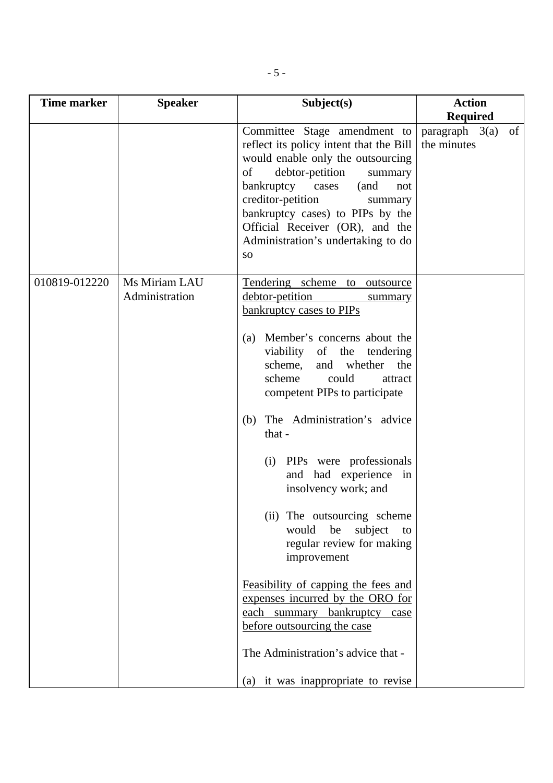| Time marker   | <b>Speaker</b>                  | Subject(s)                                                                                                                                                                                                                                                                                                                                    | <b>Action</b>                               |
|---------------|---------------------------------|-----------------------------------------------------------------------------------------------------------------------------------------------------------------------------------------------------------------------------------------------------------------------------------------------------------------------------------------------|---------------------------------------------|
|               |                                 |                                                                                                                                                                                                                                                                                                                                               | <b>Required</b>                             |
|               |                                 | Committee Stage amendment to<br>reflect its policy intent that the Bill<br>would enable only the outsourcing<br>of<br>debtor-petition<br>summary<br>bankruptcy cases<br>(and<br>not<br>creditor-petition<br>summary<br>bankruptcy cases) to PIPs by the<br>Official Receiver (OR), and the<br>Administration's undertaking to do<br><b>SO</b> | of<br>$paragraph \quad 3(a)$<br>the minutes |
| 010819-012220 | Ms Miriam LAU<br>Administration | Tendering scheme to outsource<br>debtor-petition<br>summary<br>bankruptcy cases to PIPs<br>(a) Member's concerns about the                                                                                                                                                                                                                    |                                             |
|               |                                 | viability<br>of the tendering<br>scheme,<br>and whether<br>the<br>could<br>scheme<br>attract<br>competent PIPs to participate                                                                                                                                                                                                                 |                                             |
|               |                                 | The Administration's advice<br>(b)<br>that -                                                                                                                                                                                                                                                                                                  |                                             |
|               |                                 | (i) PIPs were professionals<br>and had experience in<br>insolvency work; and                                                                                                                                                                                                                                                                  |                                             |
|               |                                 | (ii) The outsourcing scheme<br>subject<br>would<br>be<br>to<br>regular review for making<br>improvement                                                                                                                                                                                                                                       |                                             |
|               |                                 | Feasibility of capping the fees and<br>expenses incurred by the ORO for<br>each summary bankruptcy case<br>before outsourcing the case                                                                                                                                                                                                        |                                             |
|               |                                 | The Administration's advice that -<br>(a) it was inappropriate to revise                                                                                                                                                                                                                                                                      |                                             |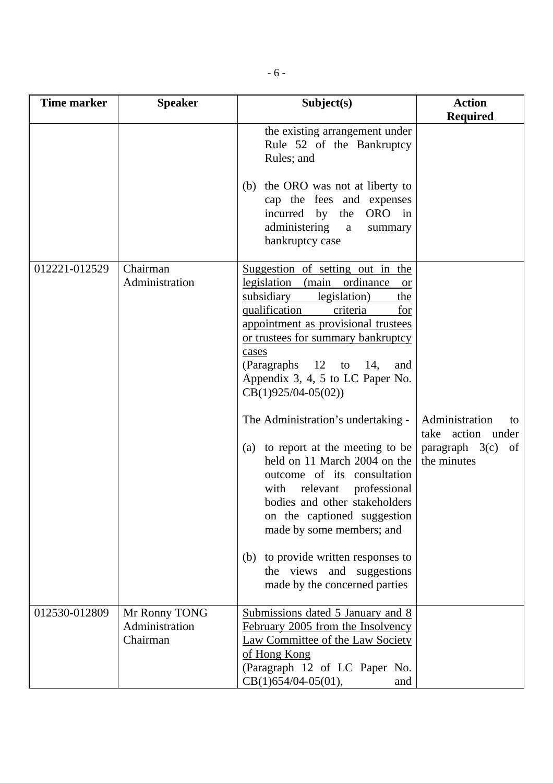| <b>Time marker</b> | <b>Speaker</b>                              | Subject(s)                                                                                                                                                                                                                                                                                                                                                                                                                                                                                                                                                                                                                                                                                 | <b>Action</b>                                                                      |
|--------------------|---------------------------------------------|--------------------------------------------------------------------------------------------------------------------------------------------------------------------------------------------------------------------------------------------------------------------------------------------------------------------------------------------------------------------------------------------------------------------------------------------------------------------------------------------------------------------------------------------------------------------------------------------------------------------------------------------------------------------------------------------|------------------------------------------------------------------------------------|
|                    |                                             |                                                                                                                                                                                                                                                                                                                                                                                                                                                                                                                                                                                                                                                                                            | <b>Required</b>                                                                    |
|                    |                                             | the existing arrangement under<br>Rule 52 of the Bankruptcy<br>Rules; and<br>(b) the ORO was not at liberty to                                                                                                                                                                                                                                                                                                                                                                                                                                                                                                                                                                             |                                                                                    |
|                    |                                             | cap the fees and expenses<br>incurred by<br>ORO in<br>the<br>administering<br>a<br>summary<br>bankruptcy case                                                                                                                                                                                                                                                                                                                                                                                                                                                                                                                                                                              |                                                                                    |
| 012221-012529      | Chairman<br>Administration                  | Suggestion of setting out in the<br>legislation (main ordinance<br><b>or</b><br>subsidiary<br>legislation)<br>the<br>qualification<br>criteria<br>for<br>appointment as provisional trustees<br>or trustees for summary bankruptcy<br>cases<br>(Paragraphs $12$ to $14$ ,<br>and<br>Appendix 3, 4, 5 to LC Paper No.<br>$CB(1)925/04-05(02))$<br>The Administration's undertaking -<br>(a) to report at the meeting to be<br>held on 11 March 2004 on the<br>outcome of its consultation<br>relevant professional<br>with<br>bodies and other stakeholders<br>on the captioned suggestion<br>made by some members; and<br>(b) to provide written responses to<br>the views and suggestions | Administration<br>to<br>take action under<br>paragraph $3(c)$<br>of<br>the minutes |
|                    |                                             | made by the concerned parties                                                                                                                                                                                                                                                                                                                                                                                                                                                                                                                                                                                                                                                              |                                                                                    |
| 012530-012809      | Mr Ronny TONG<br>Administration<br>Chairman | Submissions dated 5 January and 8<br>February 2005 from the Insolvency<br>Law Committee of the Law Society<br>of Hong Kong<br>(Paragraph 12 of LC Paper No.<br>$CB(1)654/04-05(01),$<br>and                                                                                                                                                                                                                                                                                                                                                                                                                                                                                                |                                                                                    |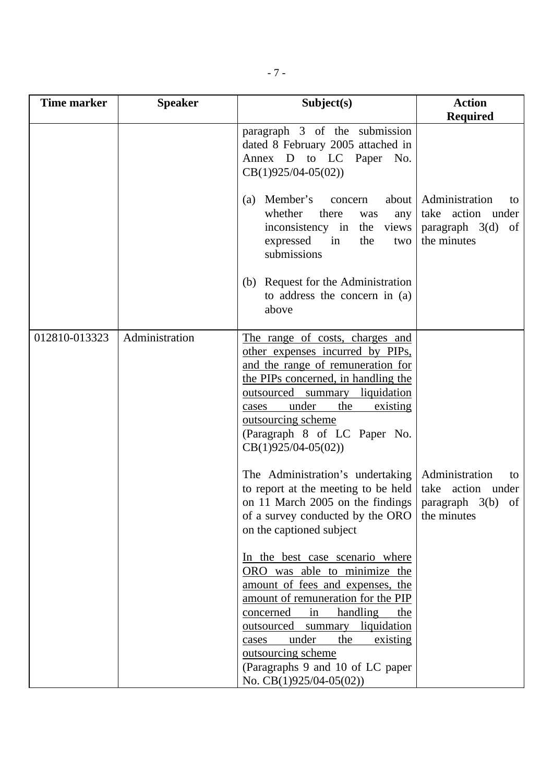| <b>Time marker</b> | <b>Speaker</b> | Subject(s)                                                                                                                                                                                                                                                                                                                                                                                                                                                                                                                                                                                                                                                              | <b>Action</b><br><b>Required</b>                                                         |
|--------------------|----------------|-------------------------------------------------------------------------------------------------------------------------------------------------------------------------------------------------------------------------------------------------------------------------------------------------------------------------------------------------------------------------------------------------------------------------------------------------------------------------------------------------------------------------------------------------------------------------------------------------------------------------------------------------------------------------|------------------------------------------------------------------------------------------|
|                    |                | paragraph 3 of the submission<br>dated 8 February 2005 attached in<br>Annex D to LC Paper No.<br>$CB(1)925/04-05(02))$<br>Member's<br>about  <br>(a)<br>concern<br>whether<br>there<br>any<br>was<br>inconsistency in<br>the views<br>expressed<br>in<br>the<br>two<br>submissions<br>(b) Request for the Administration<br>to address the concern in (a)<br>above                                                                                                                                                                                                                                                                                                      | Administration<br>to<br>take action under<br>$paragraph \quad 3(d)$<br>of<br>the minutes |
| 012810-013323      | Administration | The range of costs, charges and<br>other expenses incurred by PIPs,<br>and the range of remuneration for<br>the PIPs concerned, in handling the<br>outsourced summary liquidation<br>under<br>the<br>existing<br>cases<br>outsourcing scheme<br>(Paragraph 8 of LC Paper No.<br>$CB(1)925/04-05(02))$<br>The Administration's undertaking<br>to report at the meeting to be held<br>on 11 March 2005 on the findings<br>of a survey conducted by the ORO<br>on the captioned subject<br>In the best case scenario where<br>ORO was able to minimize the<br>amount of fees and expenses, the<br>amount of remuneration for the PIP<br>handling<br>in<br>concerned<br>the | Administration<br>to<br>take action under<br>paragraph $3(b)$ of<br>the minutes          |
|                    |                | liquidation<br>outsourced<br>summary<br>under<br>the<br>existing<br>cases<br>outsourcing scheme<br>(Paragraphs 9 and 10 of LC paper)<br>No. $CB(1)925/04-05(02)$                                                                                                                                                                                                                                                                                                                                                                                                                                                                                                        |                                                                                          |